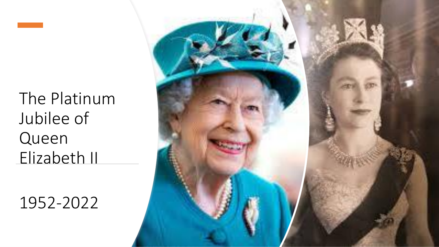The Platinum Jubilee of Queen Elizabeth II

1952-2022

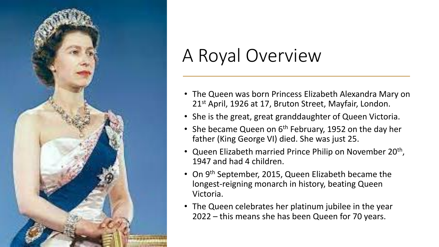

# A Royal Overview

- The Queen was born Princess Elizabeth Alexandra Mary on 21<sup>st</sup> April, 1926 at 17, Bruton Street, Mayfair, London.
- She is the great, great granddaughter of Queen Victoria.
- She became Queen on  $6<sup>th</sup>$  February, 1952 on the day her father (King George VI) died. She was just 25.
- Queen Elizabeth married Prince Philip on November 20<sup>th</sup>, 1947 and had 4 children.
- On 9<sup>th</sup> September, 2015, Queen Elizabeth became the longest-reigning monarch in history, beating Queen Victoria.
- The Queen celebrates her platinum jubilee in the year 2022 – this means she has been Queen for 70 years.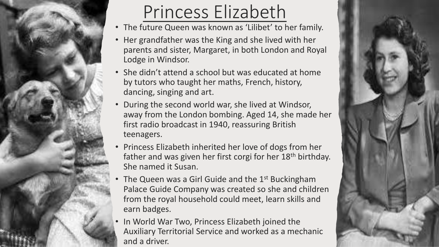

# Princess Elizabeth

- The future Queen was known as 'Lilibet' to her family.
- Her grandfather was the King and she lived with her parents and sister, Margaret, in both London and Royal Lodge in Windsor.
- She didn't attend a school but was educated at home by tutors who taught her maths, French, history, dancing, singing and art.
- During the second world war, she lived at Windsor, away from the London bombing. Aged 14, she made her first radio broadcast in 1940, reassuring British teenagers.
- Princess Elizabeth inherited her love of dogs from her father and was given her first corgi for her 18<sup>th</sup> birthday. She named it Susan.
- The Queen was a Girl Guide and the 1<sup>st</sup> Buckingham Palace Guide Company was created so she and children from the royal household could meet, learn skills and earn badges.
- In World War Two, Princess Elizabeth joined the Auxiliary Territorial Service and worked as a mechanic and a driver.

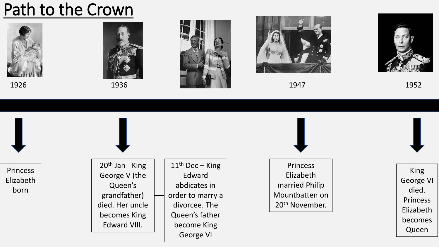## Path to the Crown







1936





1947



1952

**Princess** Elizabeth born

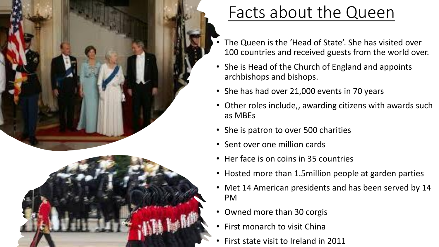



## Facts about the Queen

- The Queen is the 'Head of State'. She has visited over 100 countries and received guests from the world over.
- She is Head of the Church of England and appoints archbishops and bishops.
- She has had over 21,000 events in 70 years
- Other roles include,, awarding citizens with awards such as MBEs
- She is patron to over 500 charities
- Sent over one million cards
- Her face is on coins in 35 countries
- Hosted more than 1.5million people at garden parties
- Met 14 American presidents and has been served by 14 PM
- Owned more than 30 corgis
- First monarch to visit China
- First state visit to Ireland in 2011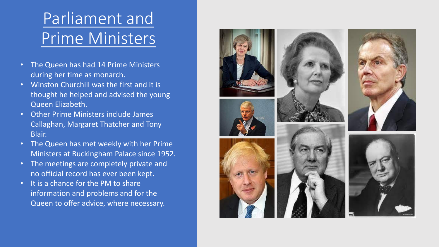## Parliament and Prime Ministers

- The Queen has had 14 Prime Ministers during her time as monarch.
- Winston Churchill was the first and it is thought he helped and advised the young Queen Elizabeth.
- Other Prime Ministers include James Callaghan, Margaret Thatcher and Tony Blair.
- The Queen has met weekly with her Prime Ministers at Buckingham Palace since 1952.
- The meetings are completely private and no official record has ever been kept.
- It is a chance for the PM to share information and problems and for the Queen to offer advice, where necessary.

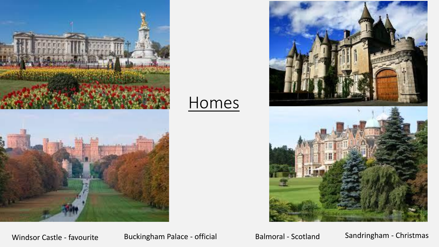

**Homes** 



Windsor Castle - favourite Buckingham Palace - official Balmoral - Scotland Sandringham - Christmas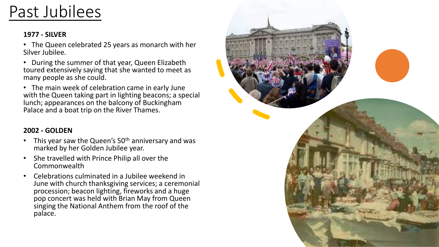## Past Jubilees

#### **1977 - SILVER**

- The Queen celebrated 25 years as monarch with her Silver Jubilee.
- During the summer of that year, Queen Elizabeth toured extensively saying that she wanted to meet as many people as she could.
- The main week of celebration came in early June with the Queen taking part in lighting beacons; a special lunch; appearances on the balcony of Buckingham Palace and a boat trip on the River Thames.

#### **2002 - GOLDEN**

- This year saw the Queen's  $50<sup>th</sup>$  anniversary and was marked by her Golden Jubilee year.
- She travelled with Prince Philip all over the Commonwealth
- Celebrations culminated in a Jubilee weekend in June with church thanksgiving services; a ceremonial procession; beacon lighting, fireworks and a huge pop concert was held with Brian May from Queen singing the National Anthem from the roof of the palace.

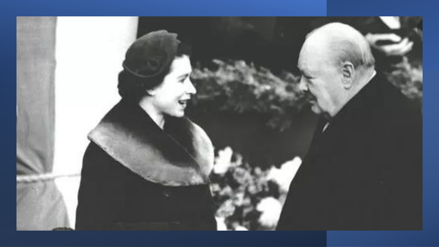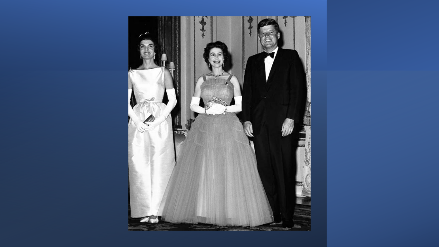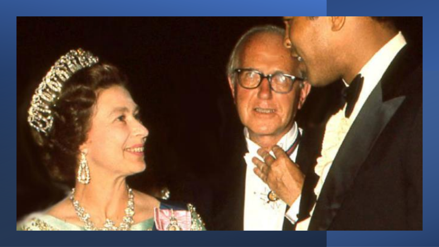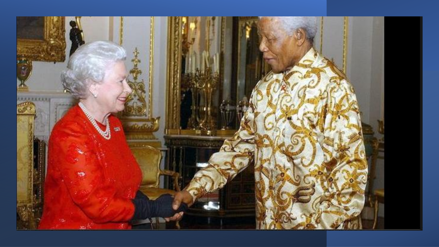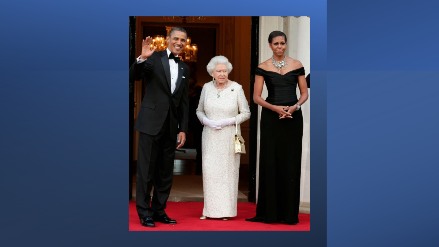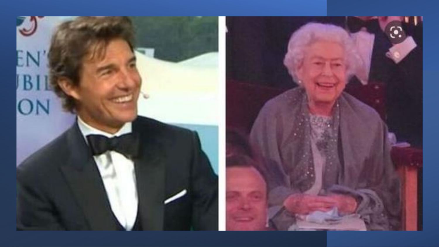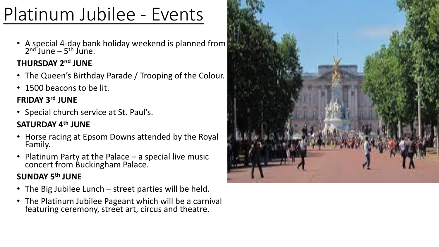# Platinum Jubilee - Events

• A special 4-day bank holiday weekend is planned from 2<sup>nd'</sup>June – 5<sup>th</sup> June.

### **THURSDAY 2nd JUNE**

- The Queen's Birthday Parade / Trooping of the Colour.
- 1500 beacons to be lit.

### **FRIDAY 3rd JUNE**

• Special church service at St. Paul's.

### **SATURDAY 4th JUNE**

- Horse racing at Epsom Downs attended by the Royal Family.
- Platinum Party at the Palace a special live music concert from Buckingham Palace.

### **SUNDAY 5th JUNE**

- The Big Jubilee Lunch street parties will be held.
- The Platinum Jubilee Pageant which will be a carnival featuring ceremony, street art, circus and theatre.